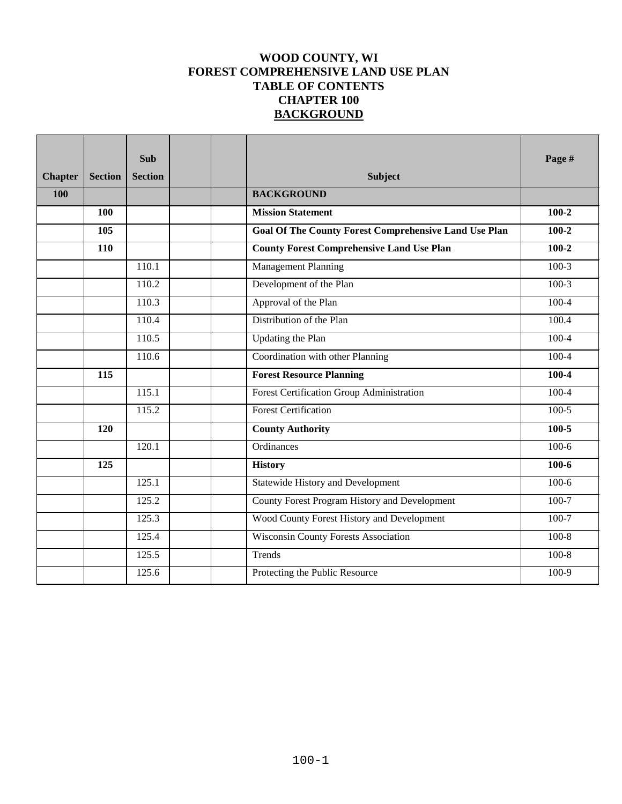## **WOOD COUNTY, WI FOREST COMPREHENSIVE LAND USE PLAN TABLE OF CONTENTS CHAPTER 100 BACKGROUND**

| <b>Chapter</b> | <b>Section</b> | <b>Sub</b><br><b>Section</b> | <b>Subject</b>                                               | Page #    |
|----------------|----------------|------------------------------|--------------------------------------------------------------|-----------|
| 100            |                |                              | <b>BACKGROUND</b>                                            |           |
|                | 100            |                              | <b>Mission Statement</b>                                     | $100 - 2$ |
|                | 105            |                              | <b>Goal Of The County Forest Comprehensive Land Use Plan</b> | $100 - 2$ |
|                | 110            |                              | <b>County Forest Comprehensive Land Use Plan</b>             | $100 - 2$ |
|                |                | 110.1                        | <b>Management Planning</b>                                   | $100-3$   |
|                |                | 110.2                        | Development of the Plan                                      | $100-3$   |
|                |                | 110.3                        | Approval of the Plan                                         | $100 - 4$ |
|                |                | 110.4                        | Distribution of the Plan                                     | 100.4     |
|                |                | 110.5                        | Updating the Plan                                            | $100 - 4$ |
|                |                | 110.6                        | Coordination with other Planning                             | $100-4$   |
|                | 115            |                              | <b>Forest Resource Planning</b>                              | $100 - 4$ |
|                |                | 115.1                        | <b>Forest Certification Group Administration</b>             | $100 - 4$ |
|                |                | 115.2                        | <b>Forest Certification</b>                                  | $100-5$   |
|                | 120            |                              | <b>County Authority</b>                                      | $100 - 5$ |
|                |                | 120.1                        | Ordinances                                                   | $100-6$   |
|                | 125            |                              | <b>History</b>                                               | $100 - 6$ |
|                |                | 125.1                        | <b>Statewide History and Development</b>                     | $100-6$   |
|                |                | 125.2                        | County Forest Program History and Development                | $100 - 7$ |
|                |                | 125.3                        | Wood County Forest History and Development                   | $100 - 7$ |
|                |                | 125.4                        | <b>Wisconsin County Forests Association</b>                  | $100 - 8$ |
|                |                | 125.5                        | Trends                                                       | $100 - 8$ |
|                |                | 125.6                        | Protecting the Public Resource                               | 100-9     |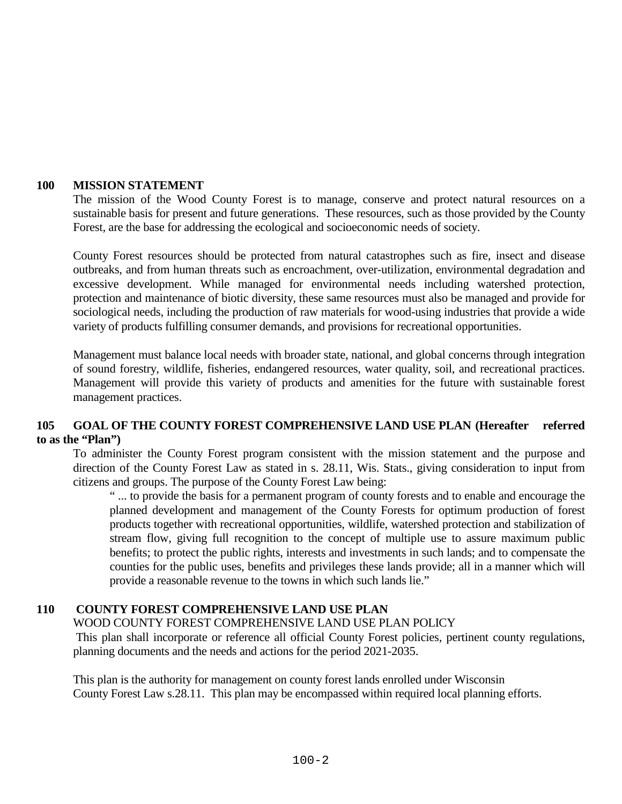#### **100 MISSION STATEMENT**

The mission of the Wood County Forest is to manage, conserve and protect natural resources on a sustainable basis for present and future generations. These resources, such as those provided by the County Forest, are the base for addressing the ecological and socioeconomic needs of society.

County Forest resources should be protected from natural catastrophes such as fire, insect and disease outbreaks, and from human threats such as encroachment, over-utilization, environmental degradation and excessive development. While managed for environmental needs including watershed protection, protection and maintenance of biotic diversity, these same resources must also be managed and provide for sociological needs, including the production of raw materials for wood-using industries that provide a wide variety of products fulfilling consumer demands, and provisions for recreational opportunities.

Management must balance local needs with broader state, national, and global concerns through integration of sound forestry, wildlife, fisheries, endangered resources, water quality, soil, and recreational practices. Management will provide this variety of products and amenities for the future with sustainable forest management practices.

## **105 GOAL OF THE COUNTY FOREST COMPREHENSIVE LAND USE PLAN (Hereafter referred to as the "Plan")**

To administer the County Forest program consistent with the mission statement and the purpose and direction of the County Forest Law as stated in s. 28.11, Wis. Stats., giving consideration to input from citizens and groups. The purpose of the County Forest Law being:

" ... to provide the basis for a permanent program of county forests and to enable and encourage the planned development and management of the County Forests for optimum production of forest products together with recreational opportunities, wildlife, watershed protection and stabilization of stream flow, giving full recognition to the concept of multiple use to assure maximum public benefits; to protect the public rights, interests and investments in such lands; and to compensate the counties for the public uses, benefits and privileges these lands provide; all in a manner which will provide a reasonable revenue to the towns in which such lands lie."

#### **110 COUNTY FOREST COMPREHENSIVE LAND USE PLAN**

WOOD COUNTY FOREST COMPREHENSIVE LAND USE PLAN POLICY

 This plan shall incorporate or reference all official County Forest policies, pertinent county regulations, planning documents and the needs and actions for the period 2021-2035.

This plan is the authority for management on county forest lands enrolled under Wisconsin County Forest Law s.28.11. This plan may be encompassed within required local planning efforts.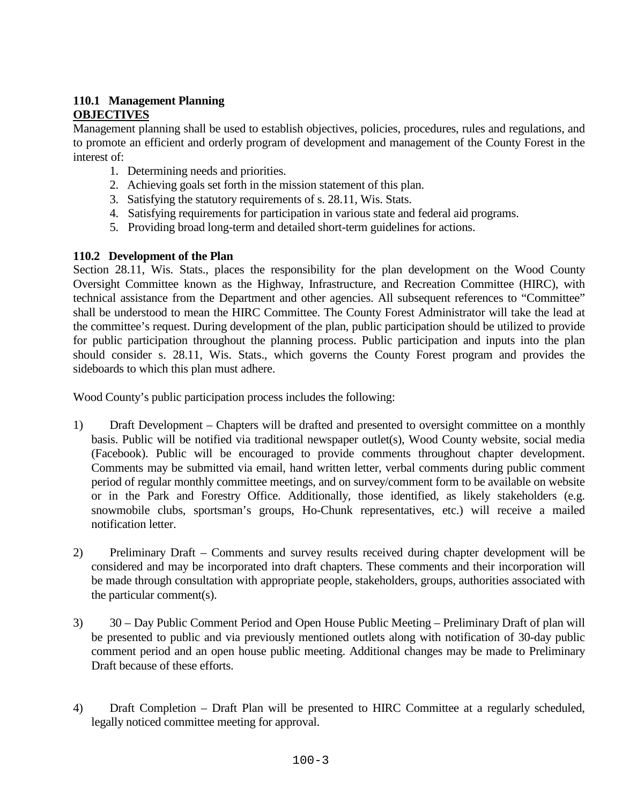### **110.1 Management Planning OBJECTIVES**

Management planning shall be used to establish objectives, policies, procedures, rules and regulations, and to promote an efficient and orderly program of development and management of the County Forest in the interest of:

- 1. Determining needs and priorities.
- 2. Achieving goals set forth in the mission statement of this plan.
- 3. Satisfying the statutory requirements of s. 28.11, Wis. Stats.
- 4. Satisfying requirements for participation in various state and federal aid programs.
- 5. Providing broad long-term and detailed short-term guidelines for actions.

## **110.2 Development of the Plan**

Section 28.11, Wis. Stats., places the responsibility for the plan development on the Wood County Oversight Committee known as the Highway, Infrastructure, and Recreation Committee (HIRC), with technical assistance from the Department and other agencies. All subsequent references to "Committee" shall be understood to mean the HIRC Committee. The County Forest Administrator will take the lead at the committee's request. During development of the plan, public participation should be utilized to provide for public participation throughout the planning process. Public participation and inputs into the plan should consider s. 28.11, Wis. Stats., which governs the County Forest program and provides the sideboards to which this plan must adhere.

Wood County's public participation process includes the following:

- 1) Draft Development Chapters will be drafted and presented to oversight committee on a monthly basis. Public will be notified via traditional newspaper outlet(s), Wood County website, social media (Facebook). Public will be encouraged to provide comments throughout chapter development. Comments may be submitted via email, hand written letter, verbal comments during public comment period of regular monthly committee meetings, and on survey/comment form to be available on website or in the Park and Forestry Office. Additionally, those identified, as likely stakeholders (e.g. snowmobile clubs, sportsman's groups, Ho-Chunk representatives, etc.) will receive a mailed notification letter.
- 2) Preliminary Draft Comments and survey results received during chapter development will be considered and may be incorporated into draft chapters. These comments and their incorporation will be made through consultation with appropriate people, stakeholders, groups, authorities associated with the particular comment(s).
- 3) 30 Day Public Comment Period and Open House Public Meeting Preliminary Draft of plan will be presented to public and via previously mentioned outlets along with notification of 30-day public comment period and an open house public meeting. Additional changes may be made to Preliminary Draft because of these efforts.
- 4) Draft Completion Draft Plan will be presented to HIRC Committee at a regularly scheduled, legally noticed committee meeting for approval.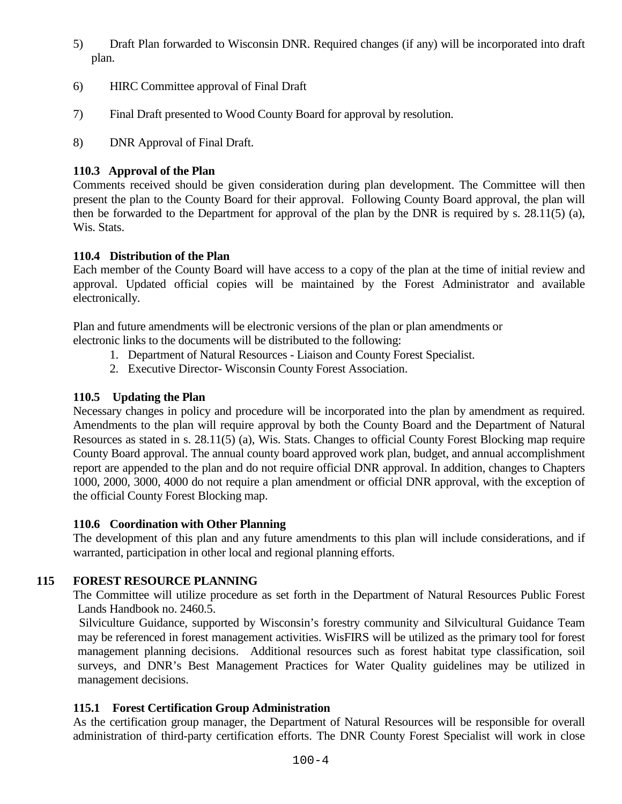- 5) Draft Plan forwarded to Wisconsin DNR. Required changes (if any) will be incorporated into draft plan.
- 6) HIRC Committee approval of Final Draft
- 7) Final Draft presented to Wood County Board for approval by resolution.
- 8) DNR Approval of Final Draft.

# **110.3 Approval of the Plan**

Comments received should be given consideration during plan development. The Committee will then present the plan to the County Board for their approval. Following County Board approval, the plan will then be forwarded to the Department for approval of the plan by the DNR is required by s. 28.11(5) (a), Wis. Stats.

## **110.4 Distribution of the Plan**

Each member of the County Board will have access to a copy of the plan at the time of initial review and approval. Updated official copies will be maintained by the Forest Administrator and available electronically.

Plan and future amendments will be electronic versions of the plan or plan amendments or

electronic links to the documents will be distributed to the following:

- 1. Department of Natural Resources Liaison and County Forest Specialist.
- 2. Executive Director- Wisconsin County Forest Association.

## **110.5 Updating the Plan**

Necessary changes in policy and procedure will be incorporated into the plan by amendment as required. Amendments to the plan will require approval by both the County Board and the Department of Natural Resources as stated in s. 28.11(5) (a), Wis. Stats. Changes to official County Forest Blocking map require County Board approval. The annual county board approved work plan, budget, and annual accomplishment report are appended to the plan and do not require official DNR approval. In addition, changes to Chapters 1000, 2000, 3000, 4000 do not require a plan amendment or official DNR approval, with the exception of the official County Forest Blocking map.

## **110.6 Coordination with Other Planning**

The development of this plan and any future amendments to this plan will include considerations, and if warranted, participation in other local and regional planning efforts.

# **115 FOREST RESOURCE PLANNING**

The Committee will utilize procedure as set forth in the Department of Natural Resources Public Forest Lands Handbook no. 2460.5.

 Silviculture Guidance, supported by Wisconsin's forestry community and Silvicultural Guidance Team may be referenced in forest management activities. WisFIRS will be utilized as the primary tool for forest management planning decisions. Additional resources such as forest habitat type classification, soil surveys, and DNR's Best Management Practices for Water Quality guidelines may be utilized in management decisions.

## **115.1 Forest Certification Group Administration**

As the certification group manager, the Department of Natural Resources will be responsible for overall administration of third-party certification efforts. The DNR County Forest Specialist will work in close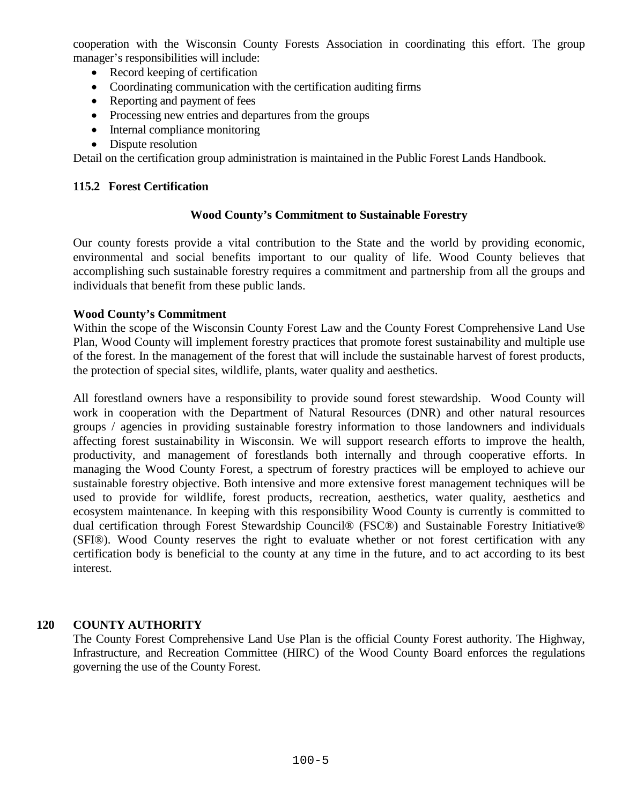cooperation with the Wisconsin County Forests Association in coordinating this effort. The group manager's responsibilities will include:

- Record keeping of certification
- Coordinating communication with the certification auditing firms
- Reporting and payment of fees
- Processing new entries and departures from the groups
- Internal compliance monitoring
- Dispute resolution

Detail on the certification group administration is maintained in the Public Forest Lands Handbook.

#### **115.2 Forest Certification**

#### **Wood County's Commitment to Sustainable Forestry**

Our county forests provide a vital contribution to the State and the world by providing economic, environmental and social benefits important to our quality of life. Wood County believes that accomplishing such sustainable forestry requires a commitment and partnership from all the groups and individuals that benefit from these public lands.

#### **Wood County's Commitment**

Within the scope of the Wisconsin County Forest Law and the County Forest Comprehensive Land Use Plan, Wood County will implement forestry practices that promote forest sustainability and multiple use of the forest. In the management of the forest that will include the sustainable harvest of forest products, the protection of special sites, wildlife, plants, water quality and aesthetics.

All forestland owners have a responsibility to provide sound forest stewardship. Wood County will work in cooperation with the Department of Natural Resources (DNR) and other natural resources groups / agencies in providing sustainable forestry information to those landowners and individuals affecting forest sustainability in Wisconsin. We will support research efforts to improve the health, productivity, and management of forestlands both internally and through cooperative efforts. In managing the Wood County Forest, a spectrum of forestry practices will be employed to achieve our sustainable forestry objective. Both intensive and more extensive forest management techniques will be used to provide for wildlife, forest products, recreation, aesthetics, water quality, aesthetics and ecosystem maintenance. In keeping with this responsibility Wood County is currently is committed to dual certification through Forest Stewardship Council® (FSC®) and Sustainable Forestry Initiative® (SFI®). Wood County reserves the right to evaluate whether or not forest certification with any certification body is beneficial to the county at any time in the future, and to act according to its best interest.

#### **120 COUNTY AUTHORITY**

The County Forest Comprehensive Land Use Plan is the official County Forest authority. The Highway, Infrastructure, and Recreation Committee (HIRC) of the Wood County Board enforces the regulations governing the use of the County Forest.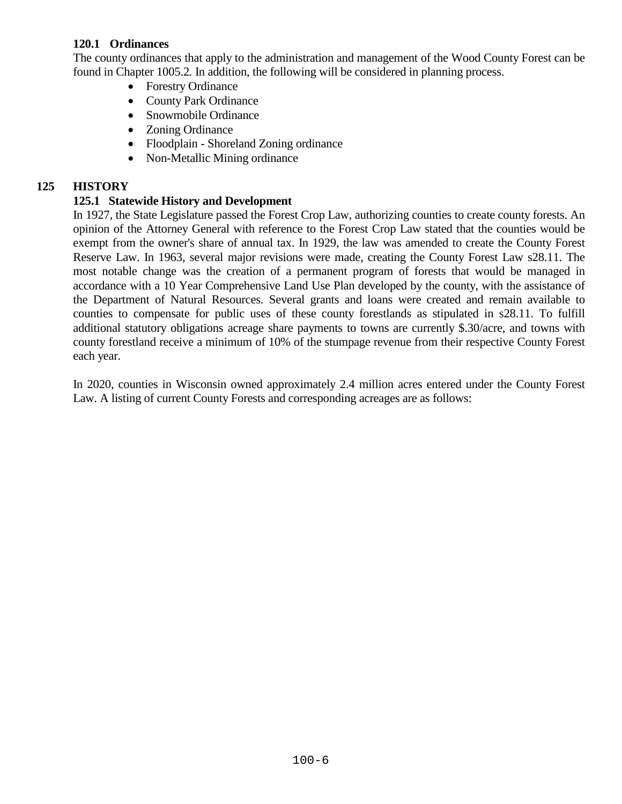### **120.1 Ordinances**

The county ordinances that apply to the administration and management of the Wood County Forest can be found in Chapter 1005.2*.* In addition, the following will be considered in planning process.

- Forestry Ordinance
- County Park Ordinance
- Snowmobile Ordinance
- Zoning Ordinance
- Floodplain Shoreland Zoning ordinance
- Non-Metallic Mining ordinance

# **125 HISTORY**

## **125.1 Statewide History and Development**

In 1927, the State Legislature passed the Forest Crop Law, authorizing counties to create county forests. An opinion of the Attorney General with reference to the Forest Crop Law stated that the counties would be exempt from the owner's share of annual tax. In 1929, the law was amended to create the County Forest Reserve Law. In 1963, several major revisions were made, creating the County Forest Law s28.11. The most notable change was the creation of a permanent program of forests that would be managed in accordance with a 10 Year Comprehensive Land Use Plan developed by the county, with the assistance of the Department of Natural Resources. Several grants and loans were created and remain available to counties to compensate for public uses of these county forestlands as stipulated in s28.11. To fulfill additional statutory obligations acreage share payments to towns are currently \$.30/acre, and towns with county forestland receive a minimum of 10% of the stumpage revenue from their respective County Forest each year.

In 2020, counties in Wisconsin owned approximately 2.4 million acres entered under the County Forest Law. A listing of current County Forests and corresponding acreages are as follows: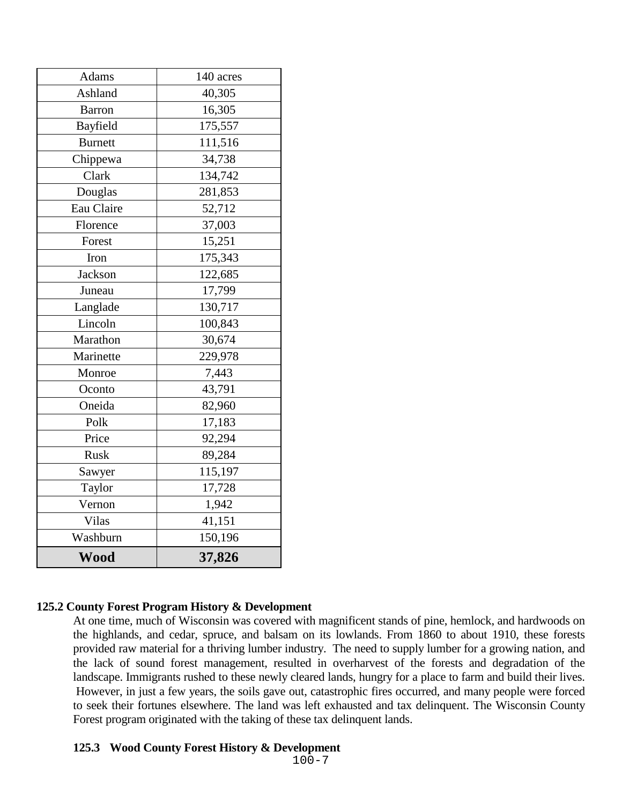| Adams          | 140 acres |
|----------------|-----------|
| Ashland        | 40,305    |
| <b>Barron</b>  | 16,305    |
| Bayfield       | 175,557   |
| <b>Burnett</b> | 111,516   |
| Chippewa       | 34,738    |
| Clark          | 134,742   |
| Douglas        | 281,853   |
| Eau Claire     | 52,712    |
| Florence       | 37,003    |
| Forest         | 15,251    |
| Iron           | 175,343   |
| Jackson        | 122,685   |
| Juneau         | 17,799    |
| Langlade       | 130,717   |
| Lincoln        | 100,843   |
| Marathon       | 30,674    |
| Marinette      | 229,978   |
| Monroe         | 7,443     |
| Oconto         | 43,791    |
| Oneida         | 82,960    |
| Polk           | 17,183    |
| Price          | 92,294    |
| <b>Rusk</b>    | 89,284    |
| Sawyer         | 115,197   |
| Taylor         | 17,728    |
| Vernon         | 1,942     |
| Vilas          | 41,151    |
| Washburn       | 150,196   |
| Wood           | 37,826    |

#### **125.2 County Forest Program History & Development**

At one time, much of Wisconsin was covered with magnificent stands of pine, hemlock, and hardwoods on the highlands, and cedar, spruce, and balsam on its lowlands. From 1860 to about 1910, these forests provided raw material for a thriving lumber industry. The need to supply lumber for a growing nation, and the lack of sound forest management, resulted in overharvest of the forests and degradation of the landscape. Immigrants rushed to these newly cleared lands, hungry for a place to farm and build their lives. However, in just a few years, the soils gave out, catastrophic fires occurred, and many people were forced to seek their fortunes elsewhere. The land was left exhausted and tax delinquent. The Wisconsin County Forest program originated with the taking of these tax delinquent lands.

#### **125.3 Wood County Forest History & Development**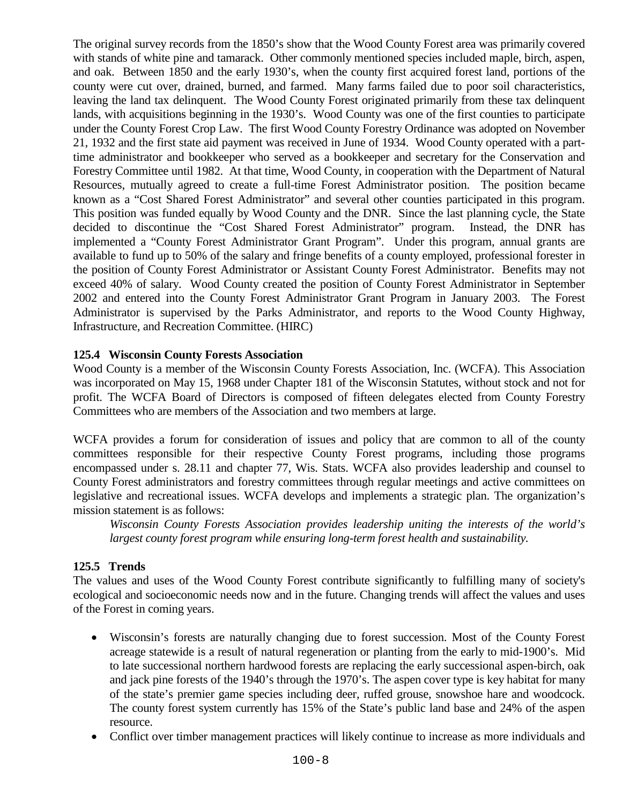The original survey records from the 1850's show that the Wood County Forest area was primarily covered with stands of white pine and tamarack. Other commonly mentioned species included maple, birch, aspen, and oak. Between 1850 and the early 1930's, when the county first acquired forest land, portions of the county were cut over, drained, burned, and farmed. Many farms failed due to poor soil characteristics, leaving the land tax delinquent. The Wood County Forest originated primarily from these tax delinquent lands, with acquisitions beginning in the 1930's. Wood County was one of the first counties to participate under the County Forest Crop Law. The first Wood County Forestry Ordinance was adopted on November 21, 1932 and the first state aid payment was received in June of 1934. Wood County operated with a parttime administrator and bookkeeper who served as a bookkeeper and secretary for the Conservation and Forestry Committee until 1982. At that time, Wood County, in cooperation with the Department of Natural Resources, mutually agreed to create a full-time Forest Administrator position. The position became known as a "Cost Shared Forest Administrator" and several other counties participated in this program. This position was funded equally by Wood County and the DNR. Since the last planning cycle, the State decided to discontinue the "Cost Shared Forest Administrator" program. Instead, the DNR has implemented a "County Forest Administrator Grant Program". Under this program, annual grants are available to fund up to 50% of the salary and fringe benefits of a county employed, professional forester in the position of County Forest Administrator or Assistant County Forest Administrator. Benefits may not exceed 40% of salary. Wood County created the position of County Forest Administrator in September 2002 and entered into the County Forest Administrator Grant Program in January 2003. The Forest Administrator is supervised by the Parks Administrator, and reports to the Wood County Highway, Infrastructure, and Recreation Committee. (HIRC)

### **125.4 Wisconsin County Forests Association**

Wood County is a member of the Wisconsin County Forests Association, Inc. (WCFA). This Association was incorporated on May 15, 1968 under Chapter 181 of the Wisconsin Statutes, without stock and not for profit. The WCFA Board of Directors is composed of fifteen delegates elected from County Forestry Committees who are members of the Association and two members at large.

WCFA provides a forum for consideration of issues and policy that are common to all of the county committees responsible for their respective County Forest programs, including those programs encompassed under s. 28.11 and chapter 77, Wis. Stats. WCFA also provides leadership and counsel to County Forest administrators and forestry committees through regular meetings and active committees on legislative and recreational issues. WCFA develops and implements a strategic plan. The organization's mission statement is as follows:

*Wisconsin County Forests Association provides leadership uniting the interests of the world's largest county forest program while ensuring long-term forest health and sustainability.*

#### **125.5 Trends**

The values and uses of the Wood County Forest contribute significantly to fulfilling many of society's ecological and socioeconomic needs now and in the future. Changing trends will affect the values and uses of the Forest in coming years.

- Wisconsin's forests are naturally changing due to forest succession. Most of the County Forest acreage statewide is a result of natural regeneration or planting from the early to mid-1900's. Mid to late successional northern hardwood forests are replacing the early successional aspen-birch, oak and jack pine forests of the 1940's through the 1970's. The aspen cover type is key habitat for many of the state's premier game species including deer, ruffed grouse, snowshoe hare and woodcock. The county forest system currently has 15% of the State's public land base and 24% of the aspen resource.
- Conflict over timber management practices will likely continue to increase as more individuals and